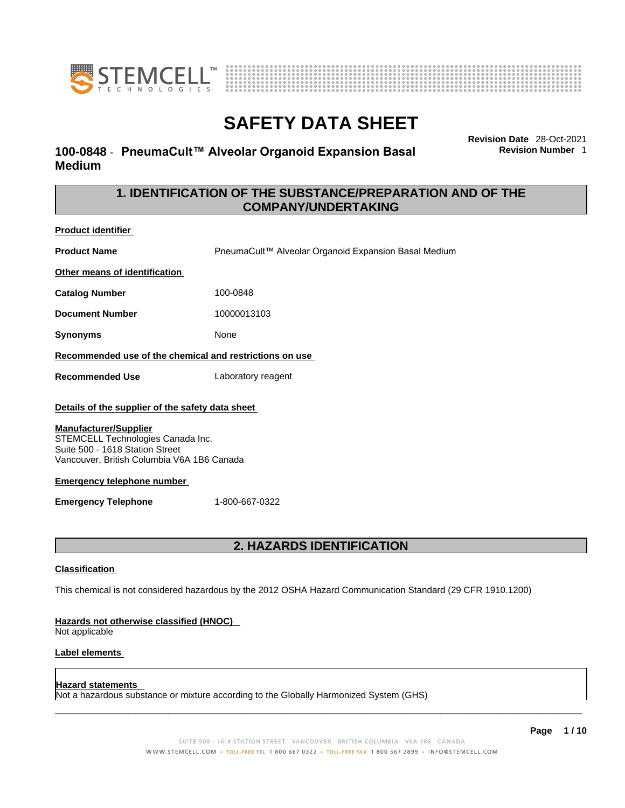



## **100-0848** - **PneumaCult™ Alveolar Organoid Expansion Basal Medium**

**Revision Date** 28-Oct-2021 **Revision Number** 1

## **1. IDENTIFICATION OF THE SUBSTANCE/PREPARATION AND OF THE COMPANY/UNDERTAKING**

**Product identifier**

**Product Name Name** PneumaCult™ Alveolar Organoid Expansion Basal Medium

**Other means of identification**

**Catalog Number** 100-0848

**Document Number** 10000013103

**Synonyms** None

**Recommended use of the chemical and restrictions on use**

**Recommended Use** Laboratory reagent

### **Details of the supplier of the safety data sheet**

### **Manufacturer/Supplier**

STEMCELL Technologies Canada Inc. Suite 500 - 1618 Station Street Vancouver, British Columbia V6A 1B6 Canada

### **Emergency telephone number**

**Emergency Telephone** 1-800-667-0322

## **2. HAZARDS IDENTIFICATION**

### **Classification**

This chemical is not considered hazardous by the 2012 OSHA Hazard Communication Standard (29 CFR 1910.1200)

### **Hazards not otherwise classified (HNOC)**

Not applicable

### **Label elements**

### **Hazard statements**

Not a hazardous substance or mixture according to the Globally Harmonized System (GHS)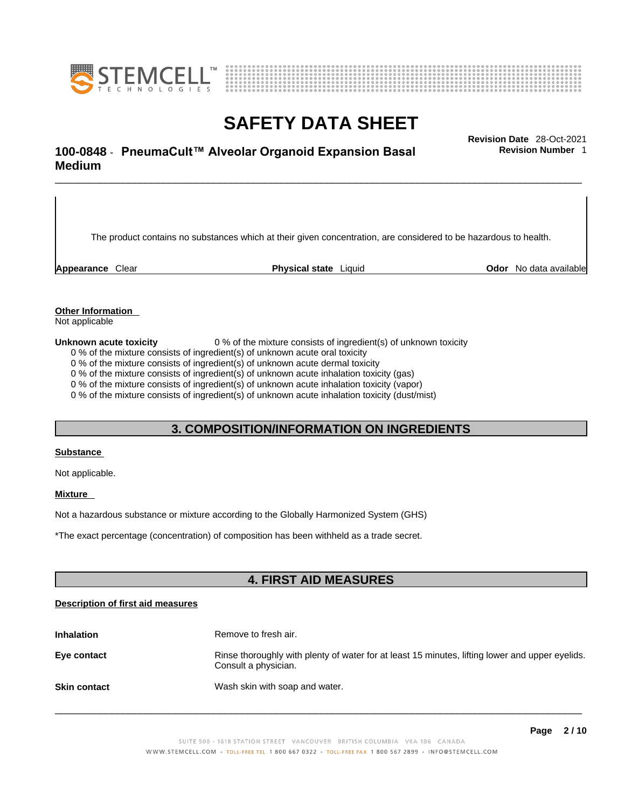



## \_\_\_\_\_\_\_\_\_\_\_\_\_\_\_\_\_\_\_\_\_\_\_\_\_\_\_\_\_\_\_\_\_\_\_\_\_\_\_\_\_\_\_\_\_\_\_\_\_\_\_\_\_\_\_\_\_\_\_\_\_\_\_\_\_\_\_\_\_\_\_\_\_\_\_\_\_\_\_\_\_\_\_\_\_\_\_\_\_\_\_\_\_ **Revision Date** 28-Oct-2021 **100-0848** - **PneumaCult™ Alveolar Organoid Expansion Basal Medium**

The product contains no substances which at their given concentration, are considered to be hazardous to health.

**Appearance** Clear **Physical state** Liquid **Odor** No data available

**Revision Number** 1

**Other Information** 

Not applicable

**Unknown acute toxicity** 0 % of the mixture consists of ingredient(s) of unknown toxicity

0 % of the mixture consists of ingredient(s) of unknown acute oral toxicity

0 % of the mixture consists of ingredient(s) of unknown acute dermal toxicity

0 % of the mixture consists of ingredient(s) of unknown acute inhalation toxicity (gas)

0 % of the mixture consists of ingredient(s) of unknown acute inhalation toxicity (vapor)

0 % of the mixture consists of ingredient(s) of unknown acute inhalation toxicity (dust/mist)

## **3. COMPOSITION/INFORMATION ON INGREDIENTS**

### **Substance**

Not applicable.

### **Mixture**

Not a hazardous substance or mixture according to the Globally Harmonized System (GHS)

\*The exact percentage (concentration) of composition has been withheld as a trade secret.

## **4. FIRST AID MEASURES**

### **Description of first aid measures**

| <b>Inhalation</b>   | Remove to fresh air.                                                                                                    |
|---------------------|-------------------------------------------------------------------------------------------------------------------------|
| Eye contact         | Rinse thoroughly with plenty of water for at least 15 minutes, lifting lower and upper eyelids.<br>Consult a physician. |
| <b>Skin contact</b> | Wash skin with soap and water.                                                                                          |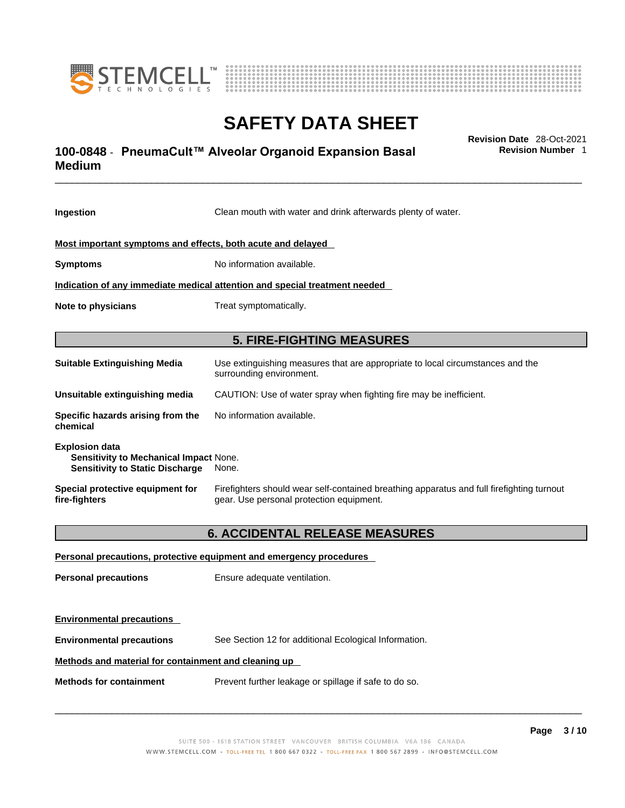



## \_\_\_\_\_\_\_\_\_\_\_\_\_\_\_\_\_\_\_\_\_\_\_\_\_\_\_\_\_\_\_\_\_\_\_\_\_\_\_\_\_\_\_\_\_\_\_\_\_\_\_\_\_\_\_\_\_\_\_\_\_\_\_\_\_\_\_\_\_\_\_\_\_\_\_\_\_\_\_\_\_\_\_\_\_\_\_\_\_\_\_\_\_ **Revision Date** 28-Oct-2021 **100-0848** - **PneumaCult™ Alveolar Organoid Expansion Basal Medium**

**Ingestion** Clean mouth with water and drink afterwards plenty of water. **Most important symptoms and effects, both acute and delayed Symptoms** No information available. **Indication of any immediate medical attention and special treatment needed Note to physicians** Treat symptomatically. **5. FIRE-FIGHTING MEASURES Suitable Extinguishing Media** Use extinguishing measures that are appropriate to local circumstances and the surrounding environment. **Unsuitable extinguishing media** CAUTION: Use of water spray when fighting fire may be inefficient. **Specific hazards arising from the chemical** No information available. **Explosion data Sensitivity to Mechanical Impact** None. **Sensitivity to Static Discharge** None. **Special protective equipment for fire-fighters** Firefighters should wear self-contained breathing apparatus and full firefighting turnout gear. Use personal protection equipment.

## **6. ACCIDENTAL RELEASE MEASURES**

|                                                      | Personal precautions, protective equipment and emergency procedures |  |
|------------------------------------------------------|---------------------------------------------------------------------|--|
| <b>Personal precautions</b>                          | Ensure adequate ventilation.                                        |  |
|                                                      |                                                                     |  |
| <b>Environmental precautions</b>                     |                                                                     |  |
| <b>Environmental precautions</b>                     | See Section 12 for additional Ecological Information.               |  |
| Methods and material for containment and cleaning up |                                                                     |  |
| <b>Methods for containment</b>                       | Prevent further leakage or spillage if safe to do so.               |  |

 $\_$  ,  $\_$  ,  $\_$  ,  $\_$  ,  $\_$  ,  $\_$  ,  $\_$  ,  $\_$  ,  $\_$  ,  $\_$  ,  $\_$  ,  $\_$  ,  $\_$  ,  $\_$  ,  $\_$  ,  $\_$  ,  $\_$  ,  $\_$  ,  $\_$  ,  $\_$  ,  $\_$  ,  $\_$  ,  $\_$  ,  $\_$  ,  $\_$  ,  $\_$  ,  $\_$  ,  $\_$  ,  $\_$  ,  $\_$  ,  $\_$  ,  $\_$  ,  $\_$  ,  $\_$  ,  $\_$  ,  $\_$  ,  $\_$  ,

**Revision Number** 1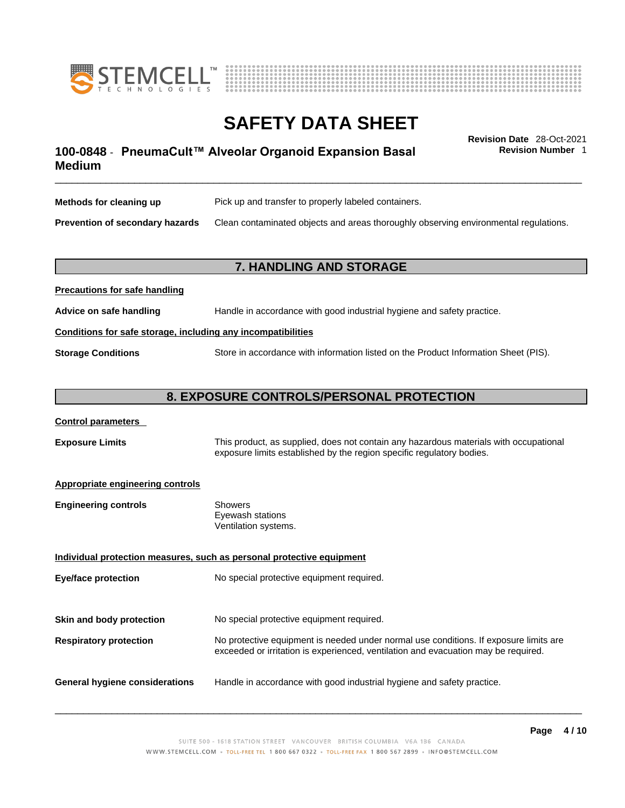



**Revision Number** 1

## \_\_\_\_\_\_\_\_\_\_\_\_\_\_\_\_\_\_\_\_\_\_\_\_\_\_\_\_\_\_\_\_\_\_\_\_\_\_\_\_\_\_\_\_\_\_\_\_\_\_\_\_\_\_\_\_\_\_\_\_\_\_\_\_\_\_\_\_\_\_\_\_\_\_\_\_\_\_\_\_\_\_\_\_\_\_\_\_\_\_\_\_\_ **Revision Date** 28-Oct-2021 **100-0848** - **PneumaCult™ Alveolar Organoid Expansion Basal Medium**

| Methods for cleaning up                | Pick up and transfer to properly labeled containers.                                 |
|----------------------------------------|--------------------------------------------------------------------------------------|
| <b>Prevention of secondary hazards</b> | Clean contaminated objects and areas thoroughly observing environmental regulations. |

## **7. HANDLING AND STORAGE**

| <b>I</b> recaduotis for safe handling |                                                                                     |
|---------------------------------------|-------------------------------------------------------------------------------------|
| Advice on safe handling               | Handle in accordance with good industrial hygiene and safety practice.              |
|                                       | Conditions for safe storage, including any incompatibilities                        |
| <b>Storage Conditions</b>             | Store in accordance with information listed on the Product Information Sheet (PIS). |

## **8. EXPOSURE CONTROLS/PERSONAL PROTECTION**

### **Control parameters**

**Precautions for safe handling**

**Exposure Limits** This product, as supplied, does not contain any hazardous materials with occupational exposure limits established by the region specific regulatory bodies.

### **Appropriate engineering controls**

| Showers              |  |
|----------------------|--|
| Eyewash stations     |  |
| Ventilation systems. |  |
|                      |  |

**Individual protection measures, such as personal protective equipment Eye/face protection** No special protective equipment required. **Skin and body protection** No special protective equipment required. **Respiratory protection** No protective equipment is needed under normal use conditions. If exposure limits are exceeded or irritation is experienced, ventilation and evacuation may be required. **General hygiene considerations** Handle in accordance with good industrial hygiene and safety practice.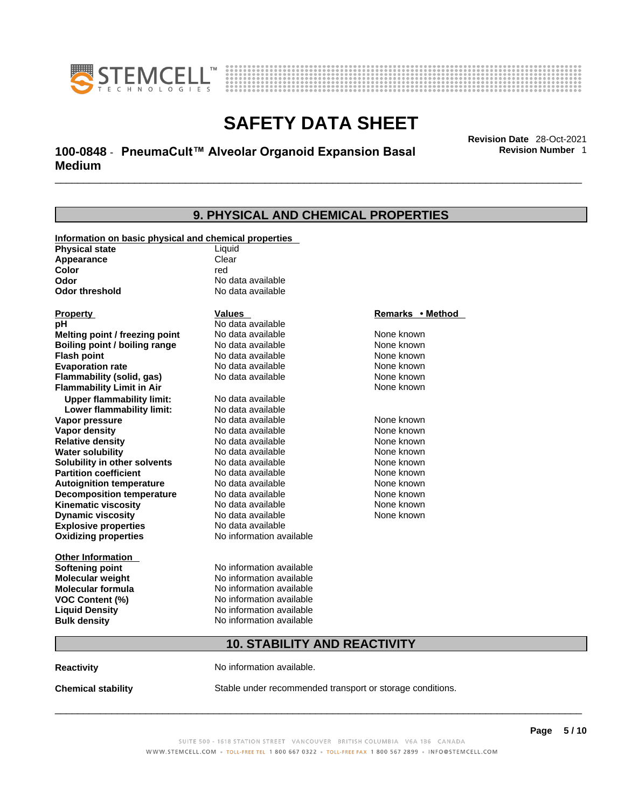



## \_\_\_\_\_\_\_\_\_\_\_\_\_\_\_\_\_\_\_\_\_\_\_\_\_\_\_\_\_\_\_\_\_\_\_\_\_\_\_\_\_\_\_\_\_\_\_\_\_\_\_\_\_\_\_\_\_\_\_\_\_\_\_\_\_\_\_\_\_\_\_\_\_\_\_\_\_\_\_\_\_\_\_\_\_\_\_\_\_\_\_\_\_ **Revision Date** 28-Oct-2021 **100-0848** - **PneumaCult™ Alveolar Organoid Expansion Basal Medium**

**Revision Number** 1

| 9. PHYSICAL AND CHEMICAL PROPERTIES                                            |                          |                  |  |
|--------------------------------------------------------------------------------|--------------------------|------------------|--|
|                                                                                |                          |                  |  |
| Information on basic physical and chemical properties<br><b>Physical state</b> | Liquid                   |                  |  |
| Appearance                                                                     | Clear                    |                  |  |
| Color                                                                          | red                      |                  |  |
| Odor                                                                           | No data available        |                  |  |
| <b>Odor threshold</b>                                                          | No data available        |                  |  |
| <b>Property</b>                                                                | <b>Values</b>            | Remarks • Method |  |
| рH                                                                             | No data available        |                  |  |
| Melting point / freezing point                                                 | No data available        | None known       |  |
| Boiling point / boiling range                                                  | No data available        | None known       |  |
| <b>Flash point</b>                                                             | No data available        | None known       |  |
| <b>Evaporation rate</b>                                                        | No data available        | None known       |  |
| Flammability (solid, gas)                                                      | No data available        | None known       |  |
| <b>Flammability Limit in Air</b>                                               |                          | None known       |  |
| <b>Upper flammability limit:</b>                                               | No data available        |                  |  |
| Lower flammability limit:                                                      | No data available        |                  |  |
| Vapor pressure                                                                 | No data available        | None known       |  |
| <b>Vapor density</b>                                                           | No data available        | None known       |  |
| <b>Relative density</b>                                                        | No data available        | None known       |  |
| <b>Water solubility</b>                                                        | No data available        | None known       |  |
| Solubility in other solvents                                                   | No data available        | None known       |  |
| <b>Partition coefficient</b>                                                   | No data available        | None known       |  |
| <b>Autoignition temperature</b>                                                | No data available        | None known       |  |
| <b>Decomposition temperature</b>                                               | No data available        | None known       |  |
| <b>Kinematic viscosity</b>                                                     | No data available        | None known       |  |
| <b>Dynamic viscosity</b>                                                       | No data available        | None known       |  |
| <b>Explosive properties</b>                                                    | No data available        |                  |  |
| <b>Oxidizing properties</b>                                                    | No information available |                  |  |
| <b>Other Information</b>                                                       |                          |                  |  |
| <b>Softening point</b>                                                         | No information available |                  |  |
| <b>Molecular weight</b>                                                        | No information available |                  |  |
| <b>Molecular formula</b>                                                       | No information available |                  |  |
| VOC Content (%)                                                                | No information available |                  |  |
| <b>Liquid Density</b>                                                          | No information available |                  |  |
| <b>Bulk density</b>                                                            | No information available |                  |  |
|                                                                                |                          |                  |  |

## **10. STABILITY AND REACTIVITY**

**Reactivity No information available.** 

**Chemical stability** Stable under recommended transport or storage conditions.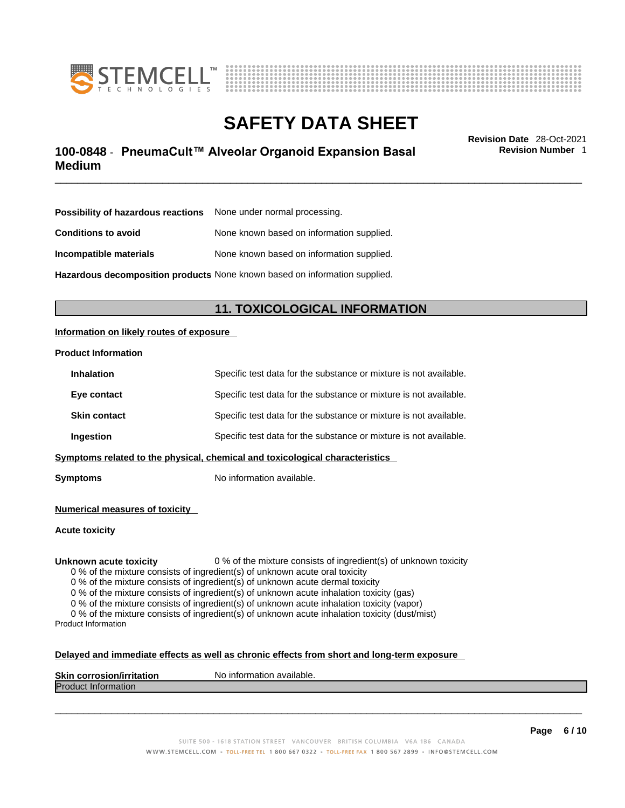



## \_\_\_\_\_\_\_\_\_\_\_\_\_\_\_\_\_\_\_\_\_\_\_\_\_\_\_\_\_\_\_\_\_\_\_\_\_\_\_\_\_\_\_\_\_\_\_\_\_\_\_\_\_\_\_\_\_\_\_\_\_\_\_\_\_\_\_\_\_\_\_\_\_\_\_\_\_\_\_\_\_\_\_\_\_\_\_\_\_\_\_\_\_ **Revision Date** 28-Oct-2021 **100-0848** - **PneumaCult™ Alveolar Organoid Expansion Basal Medium**

**Revision Number** 1

| <b>Possibility of hazardous reactions</b> None under normal processing. |                                                                            |
|-------------------------------------------------------------------------|----------------------------------------------------------------------------|
| <b>Conditions to avoid</b>                                              | None known based on information supplied.                                  |
| Incompatible materials                                                  | None known based on information supplied.                                  |
|                                                                         | Hazardous decomposition products None known based on information supplied. |

**11. TOXICOLOGICAL INFORMATION** 

### **Information on likely routes of exposure**

#### **Product Information**

| <b>Inhalation</b>   | Specific test data for the substance or mixture is not available.            |
|---------------------|------------------------------------------------------------------------------|
| Eye contact         | Specific test data for the substance or mixture is not available.            |
| <b>Skin contact</b> | Specific test data for the substance or mixture is not available.            |
| Ingestion           | Specific test data for the substance or mixture is not available.            |
|                     | Symptoms related to the physical, chemical and toxicological characteristics |

**Symptoms** No information available.

**Numerical measures of toxicity**

**Acute toxicity**

**Unknown acute toxicity** 0 % of the mixture consists of ingredient(s) of unknown toxicity

0 % of the mixture consists of ingredient(s) of unknown acute oral toxicity

0 % of the mixture consists of ingredient(s) of unknown acute dermal toxicity

0 % of the mixture consists of ingredient(s) of unknown acute inhalation toxicity (gas)

0 % of the mixture consists of ingredient(s) of unknown acute inhalation toxicity (vapor)

0 % of the mixture consists of ingredient(s) of unknown acute inhalation toxicity (dust/mist) Product Information

#### **Delayed and immediate effects as well as chronic effects from short and long-term exposure**

| <b>Skin corrosion/irritation</b> | p information available.<br>N0. |
|----------------------------------|---------------------------------|
| <b>Produ</b><br>∷information     |                                 |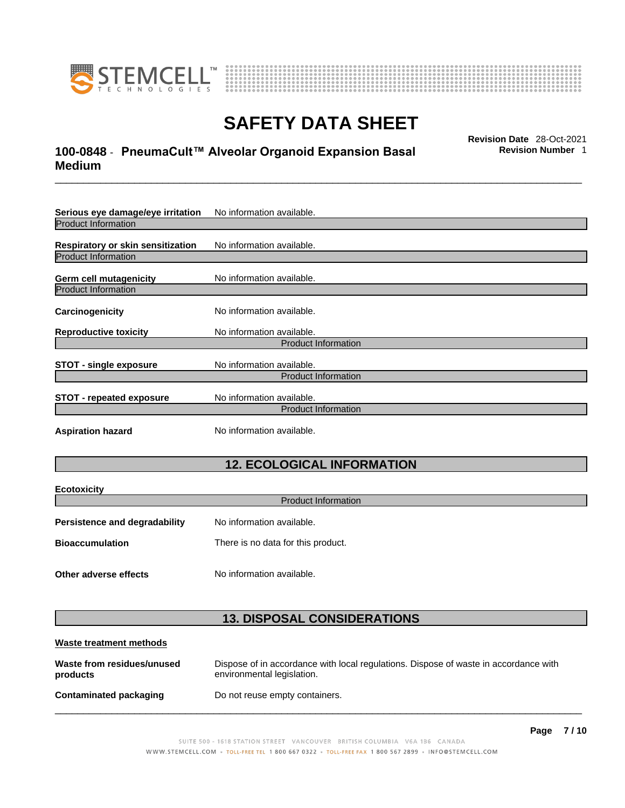

**Ecotoxicity** 



## **SAFETY DATA SHEET**

## \_\_\_\_\_\_\_\_\_\_\_\_\_\_\_\_\_\_\_\_\_\_\_\_\_\_\_\_\_\_\_\_\_\_\_\_\_\_\_\_\_\_\_\_\_\_\_\_\_\_\_\_\_\_\_\_\_\_\_\_\_\_\_\_\_\_\_\_\_\_\_\_\_\_\_\_\_\_\_\_\_\_\_\_\_\_\_\_\_\_\_\_\_ **Revision Date** 28-Oct-2021 **100-0848** - **PneumaCult™ Alveolar Organoid Expansion Basal Medium**

**Revision Number** 1

| Serious eye damage/eye irritation                                      | No information available.                               |
|------------------------------------------------------------------------|---------------------------------------------------------|
| <b>Product Information</b>                                             |                                                         |
| <b>Respiratory or skin sensitization</b><br><b>Product Information</b> | No information available.                               |
| <b>Germ cell mutagenicity</b>                                          | No information available.                               |
| <b>Product Information</b>                                             |                                                         |
| Carcinogenicity                                                        | No information available.                               |
| <b>Reproductive toxicity</b>                                           | No information available.                               |
|                                                                        | <b>Product Information</b>                              |
| <b>STOT - single exposure</b>                                          | No information available.<br><b>Product Information</b> |
| <b>STOT - repeated exposure</b>                                        | No information available.<br><b>Product Information</b> |
| <b>Aspiration hazard</b>                                               | No information available.                               |

## **12. ECOLOGICAL INFORMATION**

| <b>ECOTOXICITY</b>                   |                                    |
|--------------------------------------|------------------------------------|
|                                      | <b>Product Information</b>         |
| <b>Persistence and degradability</b> | No information available.          |
| <b>Bioaccumulation</b>               | There is no data for this product. |
| Other adverse effects                | No information available.          |

## **13. DISPOSAL CONSIDERATIONS**

| Waste treatment methods                |                                                                                                                    |
|----------------------------------------|--------------------------------------------------------------------------------------------------------------------|
| Waste from residues/unused<br>products | Dispose of in accordance with local regulations. Dispose of waste in accordance with<br>environmental legislation. |
| <b>Contaminated packaging</b>          | Do not reuse empty containers.                                                                                     |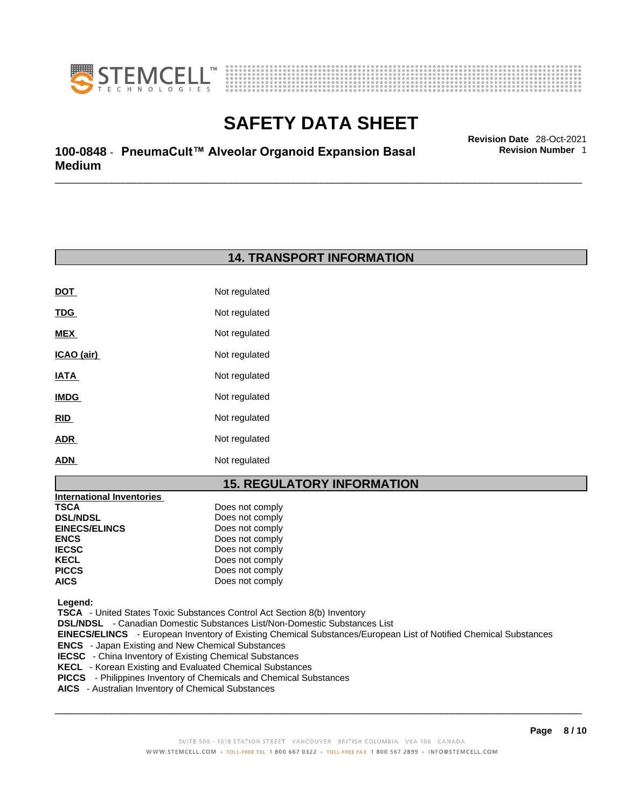



\_\_\_\_\_\_\_\_\_\_\_\_\_\_\_\_\_\_\_\_\_\_\_\_\_\_\_\_\_\_\_\_\_\_\_\_\_\_\_\_\_\_\_\_\_\_\_\_\_\_\_\_\_\_\_\_\_\_\_\_\_\_\_\_\_\_\_\_\_\_\_\_\_\_\_\_\_\_\_\_\_\_\_\_\_\_\_\_\_\_\_\_\_ **Revision Date** 28-Oct-2021 **100-0848** - **PneumaCult™ Alveolar Organoid Expansion Basal Medium** 

## **14. TRANSPORT INFORMATION**

| DOT         | Not regulated |
|-------------|---------------|
| <u>TDG</u>  | Not regulated |
| MEX         | Not regulated |
| ICAO (air)  | Not regulated |
| IATA        | Not regulated |
| <b>IMDG</b> | Not regulated |
| RID         | Not regulated |
| ADR         | Not regulated |
| ADN         | Not regulated |

## **15. REGULATORY INFORMATION**

| <b>TSCA</b><br>Does not comply<br>Does not comply<br><b>DSL/NDSL</b><br><b>EINECS/ELINCS</b><br>Does not comply<br><b>ENCS</b><br>Does not comply<br>Does not comply<br><b>IECSC</b> |
|--------------------------------------------------------------------------------------------------------------------------------------------------------------------------------------|
|                                                                                                                                                                                      |
|                                                                                                                                                                                      |
|                                                                                                                                                                                      |
|                                                                                                                                                                                      |
|                                                                                                                                                                                      |
| Does not comply<br><b>KECL</b>                                                                                                                                                       |
| Does not comply<br><b>PICCS</b>                                                                                                                                                      |
| Does not comply<br><b>AICS</b>                                                                                                                                                       |

 **Legend:** 

 **TSCA** - United States Toxic Substances Control Act Section 8(b) Inventory

 **DSL/NDSL** - Canadian Domestic Substances List/Non-Domestic Substances List

 **EINECS/ELINCS** - European Inventory of Existing Chemical Substances/European List of Notified Chemical Substances

 **ENCS** - Japan Existing and New Chemical Substances

 **IECSC** - China Inventory of Existing Chemical Substances

- **KECL**  Korean Existing and Evaluated Chemical Substances
- **PICCS**  Philippines Inventory of Chemicals and Chemical Substances
- **AICS**  Australian Inventory of Chemical Substances

 $\_$  ,  $\_$  ,  $\_$  ,  $\_$  ,  $\_$  ,  $\_$  ,  $\_$  ,  $\_$  ,  $\_$  ,  $\_$  ,  $\_$  ,  $\_$  ,  $\_$  ,  $\_$  ,  $\_$  ,  $\_$  ,  $\_$  ,  $\_$  ,  $\_$  ,  $\_$  ,  $\_$  ,  $\_$  ,  $\_$  ,  $\_$  ,  $\_$  ,  $\_$  ,  $\_$  ,  $\_$  ,  $\_$  ,  $\_$  ,  $\_$  ,  $\_$  ,  $\_$  ,  $\_$  ,  $\_$  ,  $\_$  ,  $\_$  ,

**Revision Number** 1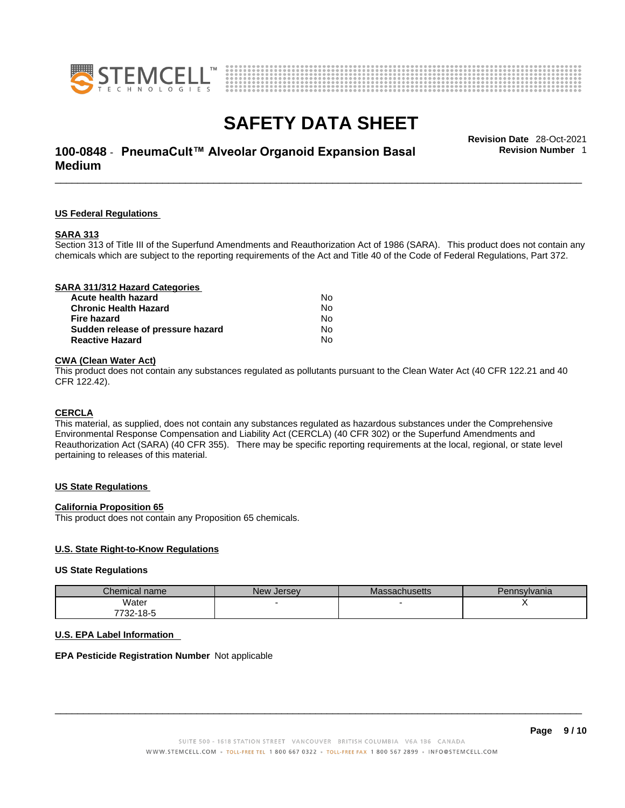



## \_\_\_\_\_\_\_\_\_\_\_\_\_\_\_\_\_\_\_\_\_\_\_\_\_\_\_\_\_\_\_\_\_\_\_\_\_\_\_\_\_\_\_\_\_\_\_\_\_\_\_\_\_\_\_\_\_\_\_\_\_\_\_\_\_\_\_\_\_\_\_\_\_\_\_\_\_\_\_\_\_\_\_\_\_\_\_\_\_\_\_\_\_ **Revision Date** 28-Oct-2021 **100-0848** - **PneumaCult™ Alveolar Organoid Expansion Basal Medium**

**US Federal Regulations**

#### **SARA 313**

Section 313 of Title III of the Superfund Amendments and Reauthorization Act of 1986 (SARA). This product does not contain any chemicals which are subject to the reporting requirements of the Act and Title 40 of the Code of Federal Regulations, Part 372.

### **CWA** (Clean Water Act)

This product does not contain any substances regulated as pollutants pursuant to the Clean Water Act (40 CFR 122.21 and 40 CFR 122.42).

#### **CERCLA**

This material, as supplied, does not contain any substances regulated as hazardous substances under the Comprehensive Environmental Response Compensation and Liability Act (CERCLA) (40 CFR 302) or the Superfund Amendments and Reauthorization Act (SARA) (40 CFR 355). There may be specific reporting requirements at the local, regional, or state level pertaining to releases of this material.

#### **US State Regulations**

#### **California Proposition 65**

This product does not contain any Proposition 65 chemicals.

#### **U.S. State Right-to-Know Regulations**

#### **US State Regulations**

| Chemical name         | New Jersey | <b>Massachusetts</b> | Pennsylvania |
|-----------------------|------------|----------------------|--------------|
| Water                 |            |                      |              |
| <sup>7</sup> 732-18-5 |            |                      |              |

### **U.S. EPA Label Information**

### **EPA Pesticide Registration Number** Not applicable

 $\_$  ,  $\_$  ,  $\_$  ,  $\_$  ,  $\_$  ,  $\_$  ,  $\_$  ,  $\_$  ,  $\_$  ,  $\_$  ,  $\_$  ,  $\_$  ,  $\_$  ,  $\_$  ,  $\_$  ,  $\_$  ,  $\_$  ,  $\_$  ,  $\_$  ,  $\_$  ,  $\_$  ,  $\_$  ,  $\_$  ,  $\_$  ,  $\_$  ,  $\_$  ,  $\_$  ,  $\_$  ,  $\_$  ,  $\_$  ,  $\_$  ,  $\_$  ,  $\_$  ,  $\_$  ,  $\_$  ,  $\_$  ,  $\_$  ,

**Revision Number** 1